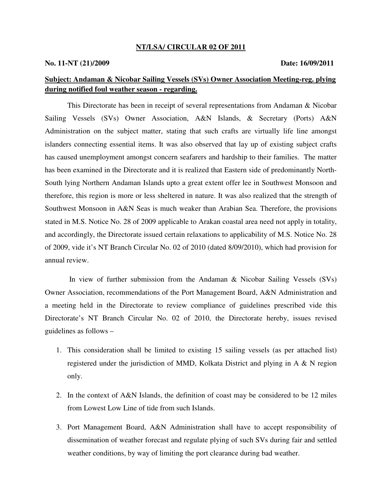#### **NT/LSA/ CIRCULAR 02 OF 2011**

### **No. 11-NT (21)/2009 Date: 16/09/2011**

# **Subject: Andaman & Nicobar Sailing Vessels (SVs) Owner Association Meeting-reg. plying during notified foul weather season - regarding.**

This Directorate has been in receipt of several representations from Andaman & Nicobar Sailing Vessels (SVs) Owner Association, A&N Islands, & Secretary (Ports) A&N Administration on the subject matter, stating that such crafts are virtually life line amongst islanders connecting essential items. It was also observed that lay up of existing subject crafts has caused unemployment amongst concern seafarers and hardship to their families. The matter has been examined in the Directorate and it is realized that Eastern side of predominantly North-South lying Northern Andaman Islands upto a great extent offer lee in Southwest Monsoon and therefore, this region is more or less sheltered in nature. It was also realized that the strength of Southwest Monsoon in A&N Seas is much weaker than Arabian Sea. Therefore, the provisions stated in M.S. Notice No. 28 of 2009 applicable to Arakan coastal area need not apply in totality, and accordingly, the Directorate issued certain relaxations to applicability of M.S. Notice No. 28 of 2009, vide it's NT Branch Circular No. 02 of 2010 (dated 8/09/2010), which had provision for annual review.

 In view of further submission from the Andaman & Nicobar Sailing Vessels (SVs) Owner Association, recommendations of the Port Management Board, A&N Administration and a meeting held in the Directorate to review compliance of guidelines prescribed vide this Directorate's NT Branch Circular No. 02 of 2010, the Directorate hereby, issues revised guidelines as follows –

- 1. This consideration shall be limited to existing 15 sailing vessels (as per attached list) registered under the jurisdiction of MMD, Kolkata District and plying in A & N region only.
- 2. In the context of A&N Islands, the definition of coast may be considered to be 12 miles from Lowest Low Line of tide from such Islands.
- 3. Port Management Board, A&N Administration shall have to accept responsibility of dissemination of weather forecast and regulate plying of such SVs during fair and settled weather conditions, by way of limiting the port clearance during bad weather.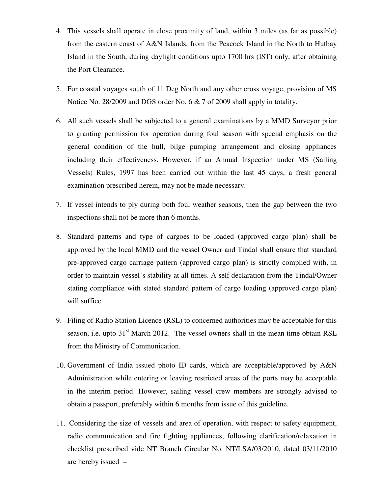- 4. This vessels shall operate in close proximity of land, within 3 miles (as far as possible) from the eastern coast of A&N Islands, from the Peacock Island in the North to Hutbay Island in the South, during daylight conditions upto 1700 hrs (IST) only, after obtaining the Port Clearance.
- 5. For coastal voyages south of 11 Deg North and any other cross voyage, provision of MS Notice No. 28/2009 and DGS order No. 6 & 7 of 2009 shall apply in totality.
- 6. All such vessels shall be subjected to a general examinations by a MMD Surveyor prior to granting permission for operation during foul season with special emphasis on the general condition of the hull, bilge pumping arrangement and closing appliances including their effectiveness. However, if an Annual Inspection under MS (Sailing Vessels) Rules, 1997 has been carried out within the last 45 days, a fresh general examination prescribed herein, may not be made necessary.
- 7. If vessel intends to ply during both foul weather seasons, then the gap between the two inspections shall not be more than 6 months.
- 8. Standard patterns and type of cargoes to be loaded (approved cargo plan) shall be approved by the local MMD and the vessel Owner and Tindal shall ensure that standard pre-approved cargo carriage pattern (approved cargo plan) is strictly complied with, in order to maintain vessel's stability at all times. A self declaration from the Tindal/Owner stating compliance with stated standard pattern of cargo loading (approved cargo plan) will suffice.
- 9. Filing of Radio Station Licence (RSL) to concerned authorities may be acceptable for this season, i.e. upto  $31<sup>st</sup>$  March 2012. The vessel owners shall in the mean time obtain RSL from the Ministry of Communication.
- 10. Government of India issued photo ID cards, which are acceptable/approved by A&N Administration while entering or leaving restricted areas of the ports may be acceptable in the interim period. However, sailing vessel crew members are strongly advised to obtain a passport, preferably within 6 months from issue of this guideline.
- 11. Considering the size of vessels and area of operation, with respect to safety equipment, radio communication and fire fighting appliances, following clarification/relaxation in checklist prescribed vide NT Branch Circular No. NT/LSA/03/2010, dated 03/11/2010 are hereby issued –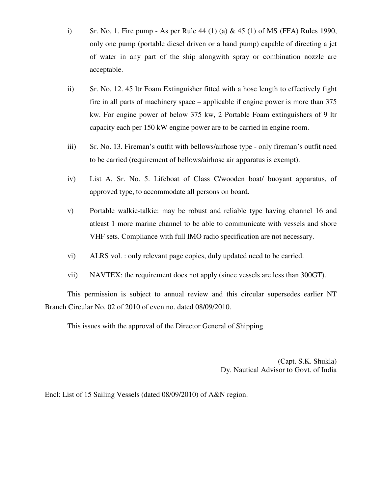- i) Sr. No. 1. Fire pump As per Rule 44 (1) (a) & 45 (1) of MS (FFA) Rules 1990, only one pump (portable diesel driven or a hand pump) capable of directing a jet of water in any part of the ship alongwith spray or combination nozzle are acceptable.
- ii) Sr. No. 12. 45 ltr Foam Extinguisher fitted with a hose length to effectively fight fire in all parts of machinery space – applicable if engine power is more than 375 kw. For engine power of below 375 kw, 2 Portable Foam extinguishers of 9 ltr capacity each per 150 kW engine power are to be carried in engine room.
- iii) Sr. No. 13. Fireman's outfit with bellows/airhose type only fireman's outfit need to be carried (requirement of bellows/airhose air apparatus is exempt).
- iv) List A, Sr. No. 5. Lifeboat of Class C/wooden boat/ buoyant apparatus, of approved type, to accommodate all persons on board.
- v) Portable walkie-talkie: may be robust and reliable type having channel 16 and atleast 1 more marine channel to be able to communicate with vessels and shore VHF sets. Compliance with full IMO radio specification are not necessary.
- vi) ALRS vol. : only relevant page copies, duly updated need to be carried.
- vii) NAVTEX: the requirement does not apply (since vessels are less than 300GT).

This permission is subject to annual review and this circular supersedes earlier NT Branch Circular No. 02 of 2010 of even no. dated 08/09/2010.

This issues with the approval of the Director General of Shipping.

(Capt. S.K. Shukla) Dy. Nautical Advisor to Govt. of India

Encl: List of 15 Sailing Vessels (dated 08/09/2010) of A&N region.